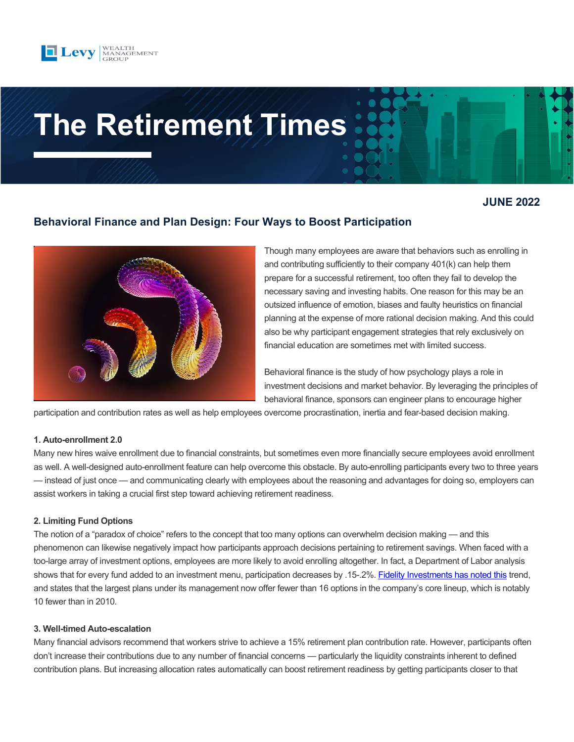

# **The Retirement Times**

# **JUNE 2022**

# **Behavioral Finance and Plan Design: Four Ways to Boost Participation**



Though many employees are aware that behaviors such as enrolling in and contributing sufficiently to their company 401(k) can help them prepare for a successful retirement, too often they fail to develop the necessary saving and investing habits. One reason for this may be an outsized influence of emotion, biases and faulty heuristics on financial planning at the expense of more rational decision making. And this could also be why participant engagement strategies that rely exclusively on financial education are sometimes met with limited success.

Behavioral finance is the study of how psychology plays a role in investment decisions and market behavior. By leveraging the principles of behavioral finance, sponsors can engineer plans to encourage higher

participation and contribution rates as well as help employees overcome procrastination, inertia and fear-based decision making.

#### **1. Auto-enrollment 2.0**

Many new hires waive enrollment due to financial constraints, but sometimes even more financially secure employees avoid enrollment as well. A well-designed auto-enrollment feature can help overcome this obstacle. By auto-enrolling participants every two to three years — instead of just once — and communicating clearly with employees about the reasoning and advantages for doing so, employers can assist workers in taking a crucial first step toward achieving retirement readiness.

#### **2. Limiting Fund Options**

The notion of a "paradox of choice" refers to the concept that too many options can overwhelm decision making — and this phenomenon can likewise negatively impact how participants approach decisions pertaining to retirement savings. When faced with a too-large array of investment options, employees are more likely to avoid enrolling altogether. In fact, a Department of Labor analysis shows that for every fund added to an investment menu, participation decreases by .15-.2%[. Fidelity Investments has noted this](https://www.shrm.org/resourcesandtools/hr-topics/benefits/pages/number-of-401k-funds-offered-to-plan-participants-shrinks.aspx) trend, and states that the largest plans under its management now offer fewer than 16 options in the company's core lineup, which is notably 10 fewer than in 2010.

#### **3. Well-timed Auto-escalation**

Many financial advisors recommend that workers strive to achieve a 15% retirement plan contribution rate. However, participants often don't increase their contributions due to any number of financial concerns — particularly the liquidity constraints inherent to defined contribution plans. But increasing allocation rates automatically can boost retirement readiness by getting participants closer to that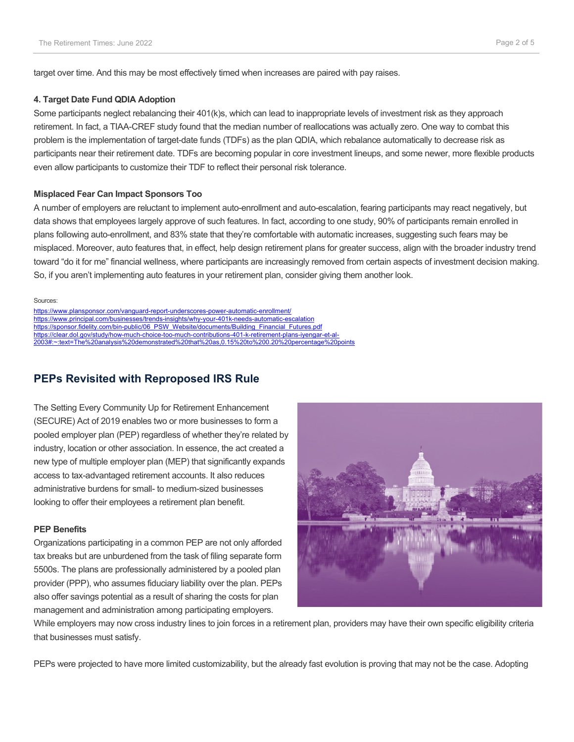target over time. And this may be most effectively timed when increases are paired with pay raises.

#### **4. Target Date Fund QDIA Adoption**

Some participants neglect rebalancing their 401(k)s, which can lead to inappropriate levels of investment risk as they approach retirement. In fact, a TIAA-CREF study found that the median number of reallocations was actually zero. One way to combat this problem is the implementation of target-date funds (TDFs) as the plan QDIA, which rebalance automatically to decrease risk as participants near their retirement date. TDFs are becoming popular in core investment lineups, and some newer, more flexible products even allow participants to customize their TDF to reflect their personal risk tolerance.

#### **Misplaced Fear Can Impact Sponsors Too**

A number of employers are reluctant to implement auto-enrollment and auto-escalation, fearing participants may react negatively, but data shows that employees largely approve of such features. In fact, according to one study, 90% of participants remain enrolled in plans following auto-enrollment, and 83% state that they're comfortable with automatic increases, suggesting such fears may be misplaced. Moreover, auto features that, in effect, help design retirement plans for greater success, align with the broader industry trend toward "do it for me" financial wellness, where participants are increasingly removed from certain aspects of investment decision making. So, if you aren't implementing auto features in your retirement plan, consider giving them another look.

#### Sources:

<https://www.plansponsor.com/vanguard-report-underscores-power-automatic-enrollment/> <https://www.principal.com/businesses/trends-insights/why-your-401k-needs-automatic-escalation> [https://sponsor.fidelity.com/bin-public/06\\_PSW\\_Website/documents/Building\\_Financial\\_Futures.pdf](https://sponsor.fidelity.com/bin-public/06_PSW_Website/documents/Building_Financial_Futures.pdf)  [https://clear.dol.gov/study/how-much-choice-too-much-contributions-401-k-retirement-plans-iyengar-et-al-](https://clear.dol.gov/study/how-much-choice-too-much-contributions-401-k-retirement-plans-iyengar-et-al-2003#:%7E:text=The%20analysis%20demonstrated%20that%20as,0.15%20to%200.20%20percentage%20points)[2003#:~:text=The%20analysis%20demonstrated%20that%20as,0.15%20to%200.20%20percentage%20points](https://clear.dol.gov/study/how-much-choice-too-much-contributions-401-k-retirement-plans-iyengar-et-al-2003#:%7E:text=The%20analysis%20demonstrated%20that%20as,0.15%20to%200.20%20percentage%20points)

### **PEPs Revisited with Reproposed IRS Rule**

The Setting Every Community Up for Retirement Enhancement (SECURE) Act of 2019 enables two or more businesses to form a pooled employer plan (PEP) regardless of whether they're related by industry, location or other association. In essence, the act created a new type of multiple employer plan (MEP) that significantly expands access to tax-advantaged retirement accounts. It also reduces administrative burdens for small- to medium-sized businesses looking to offer their employees a retirement plan benefit.

#### **PEP Benefits**

Organizations participating in a common PEP are not only afforded tax breaks but are unburdened from the task of filing separate form 5500s. The plans are professionally administered by a pooled plan provider (PPP), who assumes fiduciary liability over the plan. PEPs also offer savings potential as a result of sharing the costs for plan management and administration among participating employers.



While employers may now cross industry lines to join forces in a retirement plan, providers may have their own specific eligibility criteria that businesses must satisfy.

PEPs were projected to have more limited customizability, but the already fast evolution is proving that may not be the case. Adopting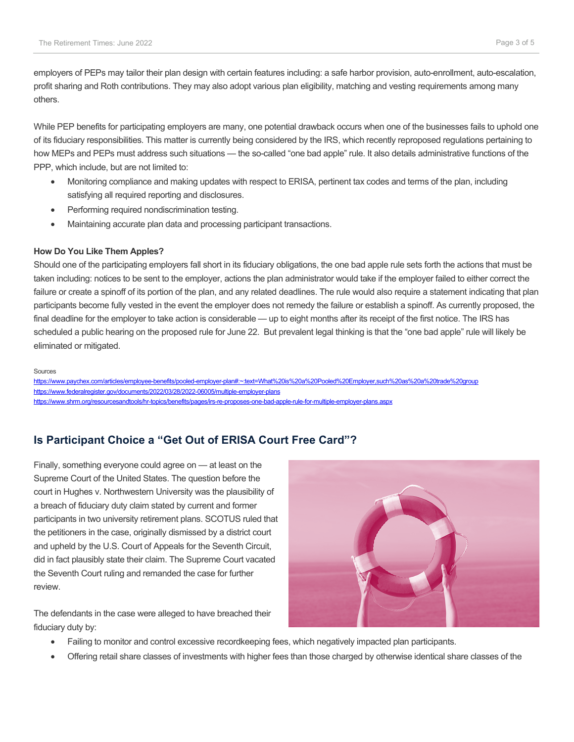employers of PEPs may tailor their plan design with certain features including: a safe harbor provision, auto-enrollment, auto-escalation, profit sharing and Roth contributions. They may also adopt various plan eligibility, matching and vesting requirements among many others.

While PEP benefits for participating employers are many, one potential drawback occurs when one of the businesses fails to uphold one of its fiduciary responsibilities. This matter is currently being considered by the IRS, which recently reproposed regulations pertaining to how MEPs and PEPs must address such situations — the so-called "one bad apple" rule. It also details administrative functions of the PPP, which include, but are not limited to:

- Monitoring compliance and making updates with respect to ERISA, pertinent tax codes and terms of the plan, including satisfying all required reporting and disclosures.
- Performing required nondiscrimination testing.
- Maintaining accurate plan data and processing participant transactions.

#### **How Do You Like Them Apples?**

Should one of the participating employers fall short in its fiduciary obligations, the one bad apple rule sets forth the actions that must be taken including: notices to be sent to the employer, actions the plan administrator would take if the employer failed to either correct the failure or create a spinoff of its portion of the plan, and any related deadlines. The rule would also require a statement indicating that plan participants become fully vested in the event the employer does not remedy the failure or establish a spinoff. As currently proposed, the final deadline for the employer to take action is considerable — up to eight months after its receipt of the first notice. The IRS has scheduled a public hearing on the proposed rule for June 22. But prevalent legal thinking is that the "one bad apple" rule will likely be eliminated or mitigated.

#### Sources

[https://www.paychex.com/articles/employee-benefits/pooled-employer-plan#:~:text=What%20is%20a%20Pooled%20Employer,such%20as%20a%20trade%20group](https://www.paychex.com/articles/employee-benefits/pooled-employer-plan#:%7E:text=What%20is%20a%20Pooled%20Employer,such%20as%20a%20trade%20group)  <https://www.federalregister.gov/documents/2022/03/28/2022-06005/multiple-employer-plans> <https://www.shrm.org/resourcesandtools/hr-topics/benefits/pages/irs-re-proposes-one-bad-apple-rule-for-multiple-employer-plans.aspx>

# **Is Participant Choice a "Get Out of ERISA Court Free Card"?**

Finally, something everyone could agree on — at least on the Supreme Court of the United States. The question before the court in Hughes v. Northwestern University was the plausibility of a breach of fiduciary duty claim stated by current and former participants in two university retirement plans. SCOTUS ruled that the petitioners in the case, originally dismissed by a district court and upheld by the U.S. Court of Appeals for the Seventh Circuit, did in fact plausibly state their claim. The Supreme Court vacated the Seventh Court ruling and remanded the case for further review.

The defendants in the case were alleged to have breached their fiduciary duty by:



- Failing to monitor and control excessive recordkeeping fees, which negatively impacted plan participants.
- Offering retail share classes of investments with higher fees than those charged by otherwise identical share classes of the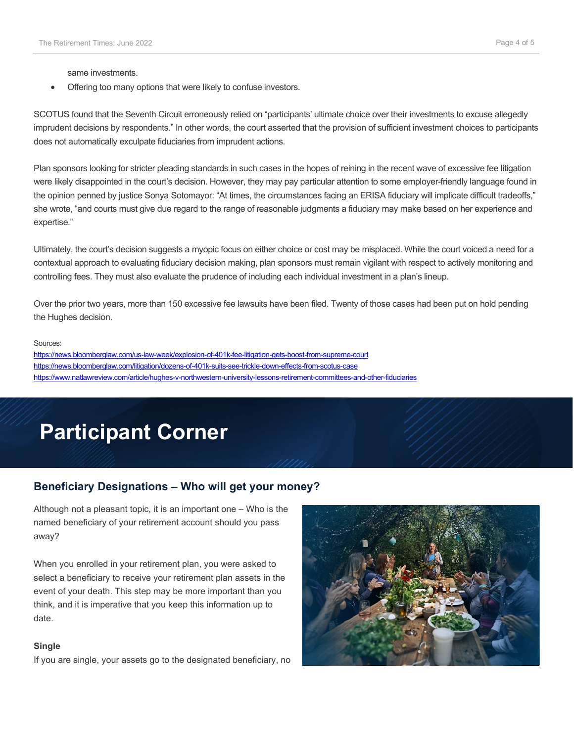same investments.

• Offering too many options that were likely to confuse investors.

SCOTUS found that the Seventh Circuit erroneously relied on "participants' ultimate choice over their investments to excuse allegedly imprudent decisions by respondents." In other words, the court asserted that the provision of sufficient investment choices to participants does not automatically exculpate fiduciaries from imprudent actions.

Plan sponsors looking for stricter pleading standards in such cases in the hopes of reining in the recent wave of excessive fee litigation were likely disappointed in the court's decision. However, they may pay particular attention to some employer-friendly language found in the opinion penned by justice Sonya Sotomayor: "At times, the circumstances facing an ERISA fiduciary will implicate difficult tradeoffs," she wrote, "and courts must give due regard to the range of reasonable judgments a fiduciary may make based on her experience and expertise."

Ultimately, the court's decision suggests a myopic focus on either choice or cost may be misplaced. While the court voiced a need for a contextual approach to evaluating fiduciary decision making, plan sponsors must remain vigilant with respect to actively monitoring and controlling fees. They must also evaluate the prudence of including each individual investment in a plan's lineup.

Over the prior two years, more than 150 excessive fee lawsuits have been filed. Twenty of those cases had been put on hold pending the Hughes decision.

#### Sources:

<https://news.bloomberglaw.com/us-law-week/explosion-of-401k-fee-litigation-gets-boost-from-supreme-court> <https://news.bloomberglaw.com/litigation/dozens-of-401k-suits-see-trickle-down-effects-from-scotus-case> <https://www.natlawreview.com/article/hughes-v-northwestern-university-lessons-retirement-committees-and-other-fiduciaries>

# **Participant Corner**

## **Beneficiary Designations – Who will get your money?**

Although not a pleasant topic, it is an important one – Who is the named beneficiary of your retirement account should you pass away?

When you enrolled in your retirement plan, you were asked to select a beneficiary to receive your retirement plan assets in the event of your death. This step may be more important than you think, and it is imperative that you keep this information up to date.

#### **Single**

If you are single, your assets go to the designated beneficiary, no